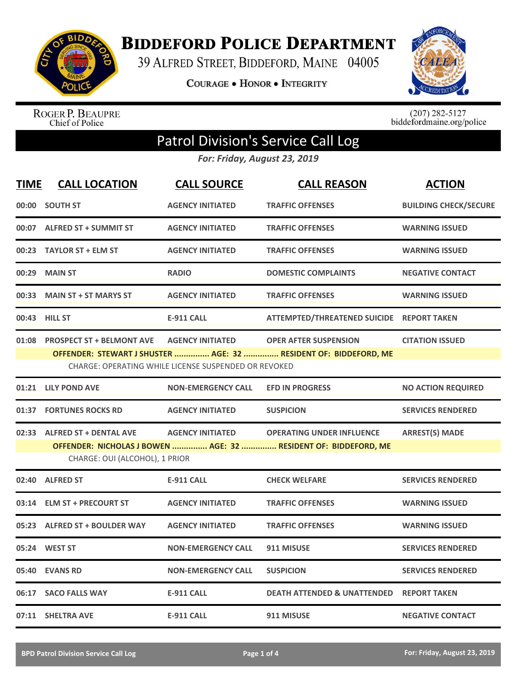

**BIDDEFORD POLICE DEPARTMENT** 

39 ALFRED STREET, BIDDEFORD, MAINE 04005

**COURAGE . HONOR . INTEGRITY** 



ROGER P. BEAUPRE<br>Chief of Police

 $(207)$  282-5127<br>biddefordmaine.org/police

## Patrol Division's Service Call Log

*For: Friday, August 23, 2019*

| <b>TIME</b> | <b>CALL LOCATION</b>                                                                              | <b>CALL SOURCE</b>        | <b>CALL REASON</b>                                               | <b>ACTION</b>                |  |  |
|-------------|---------------------------------------------------------------------------------------------------|---------------------------|------------------------------------------------------------------|------------------------------|--|--|
| 00:00       | <b>SOUTH ST</b>                                                                                   | <b>AGENCY INITIATED</b>   | <b>TRAFFIC OFFENSES</b>                                          | <b>BUILDING CHECK/SECURE</b> |  |  |
|             | 00:07 ALFRED ST + SUMMIT ST                                                                       | <b>AGENCY INITIATED</b>   | <b>TRAFFIC OFFENSES</b>                                          | <b>WARNING ISSUED</b>        |  |  |
| 00:23       | <b>TAYLOR ST + ELM ST</b>                                                                         | <b>AGENCY INITIATED</b>   | <b>TRAFFIC OFFENSES</b>                                          | <b>WARNING ISSUED</b>        |  |  |
| 00:29       | <b>MAIN ST</b>                                                                                    | <b>RADIO</b>              | <b>DOMESTIC COMPLAINTS</b>                                       | <b>NEGATIVE CONTACT</b>      |  |  |
| 00:33       | <b>MAIN ST + ST MARYS ST</b>                                                                      | <b>AGENCY INITIATED</b>   | <b>TRAFFIC OFFENSES</b>                                          | <b>WARNING ISSUED</b>        |  |  |
|             | 00:43 HILL ST                                                                                     | <b>E-911 CALL</b>         | ATTEMPTED/THREATENED SUICIDE REPORT TAKEN                        |                              |  |  |
| 01:08       | <b>PROSPECT ST + BELMONT AVE</b>                                                                  | <b>AGENCY INITIATED</b>   | <b>OPER AFTER SUSPENSION</b>                                     | <b>CITATION ISSUED</b>       |  |  |
|             |                                                                                                   |                           | OFFENDER: STEWART J SHUSTER  AGE: 32  RESIDENT OF: BIDDEFORD, ME |                              |  |  |
|             | CHARGE: OPERATING WHILE LICENSE SUSPENDED OR REVOKED                                              |                           |                                                                  |                              |  |  |
|             | 01:21 LILY POND AVE                                                                               | <b>NON-EMERGENCY CALL</b> | <b>EFD IN PROGRESS</b>                                           | <b>NO ACTION REQUIRED</b>    |  |  |
|             | 01:37 FORTUNES ROCKS RD                                                                           | <b>AGENCY INITIATED</b>   | <b>SUSPICION</b>                                                 | <b>SERVICES RENDERED</b>     |  |  |
|             | 02:33 ALFRED ST + DENTAL AVE                                                                      | <b>AGENCY INITIATED</b>   | <b>OPERATING UNDER INFLUENCE</b>                                 | <b>ARREST(S) MADE</b>        |  |  |
|             | OFFENDER: NICHOLAS J BOWEN  AGE: 32  RESIDENT OF: BIDDEFORD, ME<br>CHARGE: OUI (ALCOHOL), 1 PRIOR |                           |                                                                  |                              |  |  |
|             | 02:40 ALFRED ST                                                                                   | <b>E-911 CALL</b>         | <b>CHECK WELFARE</b>                                             | <b>SERVICES RENDERED</b>     |  |  |
| 03:14       | <b>ELM ST + PRECOURT ST</b>                                                                       | <b>AGENCY INITIATED</b>   | <b>TRAFFIC OFFENSES</b>                                          | <b>WARNING ISSUED</b>        |  |  |
|             | 05:23 ALFRED ST + BOULDER WAY                                                                     | <b>AGENCY INITIATED</b>   | <b>TRAFFIC OFFENSES</b>                                          | <b>WARNING ISSUED</b>        |  |  |
|             | 05:24 WEST ST                                                                                     | <b>NON-EMERGENCY CALL</b> | 911 MISUSE                                                       | <b>SERVICES RENDERED</b>     |  |  |
| 05:40       | <b>EVANS RD</b>                                                                                   | <b>NON-EMERGENCY CALL</b> | <b>SUSPICION</b>                                                 | <b>SERVICES RENDERED</b>     |  |  |
|             | 06:17 SACO FALLS WAY                                                                              | <b>E-911 CALL</b>         | <b>DEATH ATTENDED &amp; UNATTENDED REPORT TAKEN</b>              |                              |  |  |
|             | 07:11 SHELTRA AVE                                                                                 | <b>E-911 CALL</b>         | 911 MISUSE                                                       | <b>NEGATIVE CONTACT</b>      |  |  |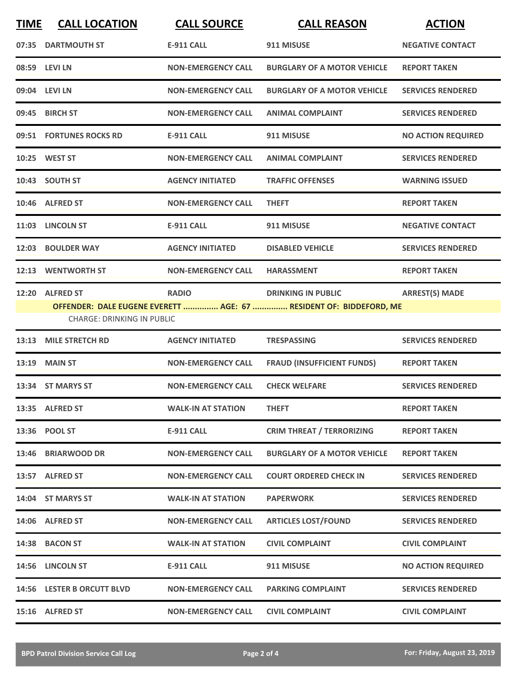| <b>TIME</b> | <b>CALL LOCATION</b>                                  | <b>CALL SOURCE</b>        | <b>CALL REASON</b>                                                                              | <b>ACTION</b>             |
|-------------|-------------------------------------------------------|---------------------------|-------------------------------------------------------------------------------------------------|---------------------------|
|             | 07:35 DARTMOUTH ST                                    | <b>E-911 CALL</b>         | 911 MISUSE                                                                                      | <b>NEGATIVE CONTACT</b>   |
|             | 08:59 LEVI LN                                         | <b>NON-EMERGENCY CALL</b> | <b>BURGLARY OF A MOTOR VEHICLE</b>                                                              | <b>REPORT TAKEN</b>       |
|             | 09:04 LEVI LN                                         | <b>NON-EMERGENCY CALL</b> | <b>BURGLARY OF A MOTOR VEHICLE</b>                                                              | <b>SERVICES RENDERED</b>  |
|             | 09:45 BIRCH ST                                        | <b>NON-EMERGENCY CALL</b> | <b>ANIMAL COMPLAINT</b>                                                                         | <b>SERVICES RENDERED</b>  |
|             | 09:51 FORTUNES ROCKS RD                               | <b>E-911 CALL</b>         | 911 MISUSE                                                                                      | <b>NO ACTION REQUIRED</b> |
|             | 10:25 WEST ST                                         | <b>NON-EMERGENCY CALL</b> | <b>ANIMAL COMPLAINT</b>                                                                         | <b>SERVICES RENDERED</b>  |
|             | 10:43 SOUTH ST                                        | <b>AGENCY INITIATED</b>   | <b>TRAFFIC OFFENSES</b>                                                                         | <b>WARNING ISSUED</b>     |
|             | 10:46 ALFRED ST                                       | <b>NON-EMERGENCY CALL</b> | <b>THEFT</b>                                                                                    | <b>REPORT TAKEN</b>       |
|             | 11:03 LINCOLN ST                                      | <b>E-911 CALL</b>         | 911 MISUSE                                                                                      | <b>NEGATIVE CONTACT</b>   |
|             | 12:03 BOULDER WAY                                     | <b>AGENCY INITIATED</b>   | <b>DISABLED VEHICLE</b>                                                                         | <b>SERVICES RENDERED</b>  |
|             | 12:13 WENTWORTH ST                                    | <b>NON-EMERGENCY CALL</b> | <b>HARASSMENT</b>                                                                               | <b>REPORT TAKEN</b>       |
| 12:20       | <b>ALFRED ST</b><br><b>CHARGE: DRINKING IN PUBLIC</b> | <b>RADIO</b>              | <b>DRINKING IN PUBLIC</b><br>OFFENDER: DALE EUGENE EVERETT  AGE: 67  RESIDENT OF: BIDDEFORD, ME | <b>ARREST(S) MADE</b>     |
| 13:13       | <b>MILE STRETCH RD</b>                                | <b>AGENCY INITIATED</b>   | <b>TRESPASSING</b>                                                                              | <b>SERVICES RENDERED</b>  |
|             | <b>13:19 MAIN ST</b>                                  | <b>NON-EMERGENCY CALL</b> | <b>FRAUD (INSUFFICIENT FUNDS)</b>                                                               | <b>REPORT TAKEN</b>       |
|             | 13:34 ST MARYS ST                                     | <b>NON-EMERGENCY CALL</b> | <b>CHECK WELFARE</b>                                                                            | <b>SERVICES RENDERED</b>  |
|             | 13:35 ALFRED ST                                       | <b>WALK-IN AT STATION</b> | <b>THEFT</b>                                                                                    | <b>REPORT TAKEN</b>       |
|             | 13:36 POOL ST                                         | E-911 CALL                | <b>CRIM THREAT / TERRORIZING</b>                                                                | <b>REPORT TAKEN</b>       |
|             | 13:46 BRIARWOOD DR                                    | <b>NON-EMERGENCY CALL</b> | <b>BURGLARY OF A MOTOR VEHICLE</b>                                                              | <b>REPORT TAKEN</b>       |
|             | 13:57 ALFRED ST                                       | <b>NON-EMERGENCY CALL</b> | <b>COURT ORDERED CHECK IN</b>                                                                   | <b>SERVICES RENDERED</b>  |
|             | 14:04 ST MARYS ST                                     | <b>WALK-IN AT STATION</b> | <b>PAPERWORK</b>                                                                                | <b>SERVICES RENDERED</b>  |
|             | 14:06 ALFRED ST                                       | <b>NON-EMERGENCY CALL</b> | <b>ARTICLES LOST/FOUND</b>                                                                      | <b>SERVICES RENDERED</b>  |
|             | 14:38 BACON ST                                        | <b>WALK-IN AT STATION</b> | <b>CIVIL COMPLAINT</b>                                                                          | <b>CIVIL COMPLAINT</b>    |
|             | 14:56 LINCOLN ST                                      | <b>E-911 CALL</b>         | 911 MISUSE                                                                                      | <b>NO ACTION REQUIRED</b> |
|             | 14:56 LESTER B ORCUTT BLVD                            | <b>NON-EMERGENCY CALL</b> | <b>PARKING COMPLAINT</b>                                                                        | <b>SERVICES RENDERED</b>  |
|             | 15:16 ALFRED ST                                       | <b>NON-EMERGENCY CALL</b> | <b>CIVIL COMPLAINT</b>                                                                          | <b>CIVIL COMPLAINT</b>    |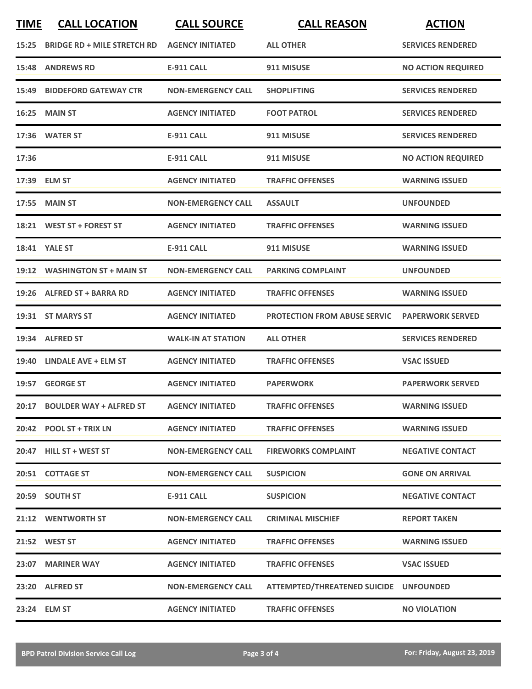| <b>TIME</b> | <b>CALL LOCATION</b>               | <b>CALL SOURCE</b>        | <b>CALL REASON</b>                     | <b>ACTION</b>             |
|-------------|------------------------------------|---------------------------|----------------------------------------|---------------------------|
| 15:25       | <b>BRIDGE RD + MILE STRETCH RD</b> | <b>AGENCY INITIATED</b>   | <b>ALL OTHER</b>                       | <b>SERVICES RENDERED</b>  |
| 15:48       | <b>ANDREWS RD</b>                  | <b>E-911 CALL</b>         | 911 MISUSE                             | <b>NO ACTION REQUIRED</b> |
| 15:49       | <b>BIDDEFORD GATEWAY CTR</b>       | <b>NON-EMERGENCY CALL</b> | <b>SHOPLIFTING</b>                     | <b>SERVICES RENDERED</b>  |
| 16:25       | MAIN ST                            | <b>AGENCY INITIATED</b>   | <b>FOOT PATROL</b>                     | <b>SERVICES RENDERED</b>  |
|             | 17:36 WATER ST                     | <b>E-911 CALL</b>         | 911 MISUSE                             | <b>SERVICES RENDERED</b>  |
| 17:36       |                                    | <b>E-911 CALL</b>         | 911 MISUSE                             | <b>NO ACTION REQUIRED</b> |
|             | 17:39 ELM ST                       | <b>AGENCY INITIATED</b>   | <b>TRAFFIC OFFENSES</b>                | <b>WARNING ISSUED</b>     |
| 17:55       | <b>MAIN ST</b>                     | <b>NON-EMERGENCY CALL</b> | <b>ASSAULT</b>                         | <b>UNFOUNDED</b>          |
|             | 18:21 WEST ST + FOREST ST          | <b>AGENCY INITIATED</b>   | <b>TRAFFIC OFFENSES</b>                | <b>WARNING ISSUED</b>     |
|             | <b>18:41 YALE ST</b>               | <b>E-911 CALL</b>         | 911 MISUSE                             | <b>WARNING ISSUED</b>     |
|             | 19:12 WASHINGTON ST + MAIN ST      | <b>NON-EMERGENCY CALL</b> | <b>PARKING COMPLAINT</b>               | <b>UNFOUNDED</b>          |
| 19:26       | <b>ALFRED ST + BARRA RD</b>        | <b>AGENCY INITIATED</b>   | <b>TRAFFIC OFFENSES</b>                | <b>WARNING ISSUED</b>     |
|             | 19:31 ST MARYS ST                  | <b>AGENCY INITIATED</b>   | <b>PROTECTION FROM ABUSE SERVIC</b>    | <b>PAPERWORK SERVED</b>   |
|             | 19:34 ALFRED ST                    | <b>WALK-IN AT STATION</b> | <b>ALL OTHER</b>                       | <b>SERVICES RENDERED</b>  |
|             | 19:40 LINDALE AVE + ELM ST         | <b>AGENCY INITIATED</b>   | <b>TRAFFIC OFFENSES</b>                | <b>VSAC ISSUED</b>        |
|             | 19:57 GEORGE ST                    | <b>AGENCY INITIATED</b>   | <b>PAPERWORK</b>                       | <b>PAPERWORK SERVED</b>   |
|             | 20:17 BOULDER WAY + ALFRED ST      | <b>AGENCY INITIATED</b>   | <b>TRAFFIC OFFENSES</b>                | <b>WARNING ISSUED</b>     |
|             | 20:42 POOL ST + TRIX LN            | <b>AGENCY INITIATED</b>   | <b>TRAFFIC OFFENSES</b>                | <b>WARNING ISSUED</b>     |
|             | 20:47 HILL ST + WEST ST            | <b>NON-EMERGENCY CALL</b> | <b>FIREWORKS COMPLAINT</b>             | <b>NEGATIVE CONTACT</b>   |
|             | 20:51 COTTAGE ST                   | <b>NON-EMERGENCY CALL</b> | <b>SUSPICION</b>                       | <b>GONE ON ARRIVAL</b>    |
|             | 20:59 SOUTH ST                     | E-911 CALL                | <b>SUSPICION</b>                       | <b>NEGATIVE CONTACT</b>   |
|             | 21:12 WENTWORTH ST                 | <b>NON-EMERGENCY CALL</b> | <b>CRIMINAL MISCHIEF</b>               | <b>REPORT TAKEN</b>       |
|             | 21:52 WEST ST                      | <b>AGENCY INITIATED</b>   | <b>TRAFFIC OFFENSES</b>                | <b>WARNING ISSUED</b>     |
|             | 23:07 MARINER WAY                  | <b>AGENCY INITIATED</b>   | <b>TRAFFIC OFFENSES</b>                | <b>VSAC ISSUED</b>        |
|             | 23:20 ALFRED ST                    | <b>NON-EMERGENCY CALL</b> | ATTEMPTED/THREATENED SUICIDE UNFOUNDED |                           |
|             | 23:24 ELM ST                       | <b>AGENCY INITIATED</b>   | <b>TRAFFIC OFFENSES</b>                | <b>NO VIOLATION</b>       |